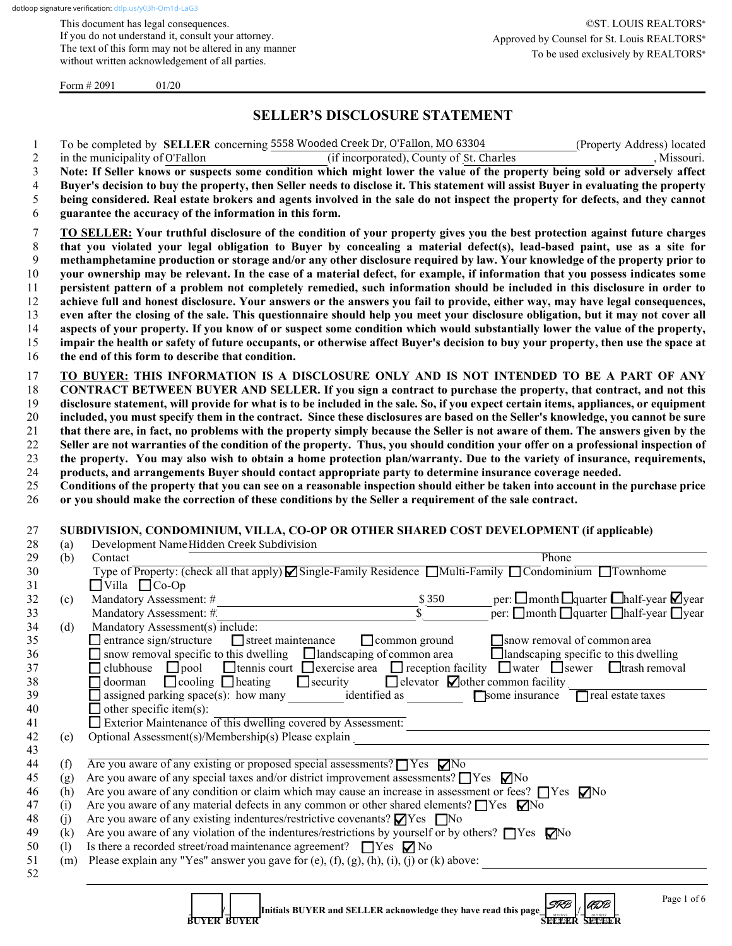This document has legal consequences. If you do not understand it, consult your attorney. The text of this form may not be altered in any manner without written acknowledgement of all parties.

Form  $\# 2091$  01/20

## **SELLER'S DISCLOSURE STATEMENT**

1 To be completed by **SELLER** concerning 5558 Wooded Creek Dr, O'Fallon, MO 63304 (Property Address) located

|                                               | in the municipality of O'Fallon<br>(if incorporated), County of St. Charles<br>, Missouri.                                                                                                                                                                                                                                                                                                                                                                                                                                                                                                |
|-----------------------------------------------|-------------------------------------------------------------------------------------------------------------------------------------------------------------------------------------------------------------------------------------------------------------------------------------------------------------------------------------------------------------------------------------------------------------------------------------------------------------------------------------------------------------------------------------------------------------------------------------------|
|                                               | Note: If Seller knows or suspects some condition which might lower the value of the property being sold or adversely affect                                                                                                                                                                                                                                                                                                                                                                                                                                                               |
|                                               | Buyer's decision to buy the property, then Seller needs to disclose it. This statement will assist Buyer in evaluating the property                                                                                                                                                                                                                                                                                                                                                                                                                                                       |
|                                               | being considered. Real estate brokers and agents involved in the sale do not inspect the property for defects, and they cannot                                                                                                                                                                                                                                                                                                                                                                                                                                                            |
|                                               | guarantee the accuracy of the information in this form.                                                                                                                                                                                                                                                                                                                                                                                                                                                                                                                                   |
|                                               |                                                                                                                                                                                                                                                                                                                                                                                                                                                                                                                                                                                           |
|                                               | TO SELLER: Your truthful disclosure of the condition of your property gives you the best protection against future charges                                                                                                                                                                                                                                                                                                                                                                                                                                                                |
|                                               | that you violated your legal obligation to Buyer by concealing a material defect(s), lead-based paint, use as a site for                                                                                                                                                                                                                                                                                                                                                                                                                                                                  |
|                                               | methamphetamine production or storage and/or any other disclosure required by law. Your knowledge of the property prior to                                                                                                                                                                                                                                                                                                                                                                                                                                                                |
|                                               | your ownership may be relevant. In the case of a material defect, for example, if information that you possess indicates some                                                                                                                                                                                                                                                                                                                                                                                                                                                             |
|                                               | persistent pattern of a problem not completely remedied, such information should be included in this disclosure in order to                                                                                                                                                                                                                                                                                                                                                                                                                                                               |
|                                               | achieve full and honest disclosure. Your answers or the answers you fail to provide, either way, may have legal consequences,                                                                                                                                                                                                                                                                                                                                                                                                                                                             |
|                                               | even after the closing of the sale. This questionnaire should help you meet your disclosure obligation, but it may not cover all                                                                                                                                                                                                                                                                                                                                                                                                                                                          |
|                                               | aspects of your property. If you know of or suspect some condition which would substantially lower the value of the property,                                                                                                                                                                                                                                                                                                                                                                                                                                                             |
|                                               | impair the health or safety of future occupants, or otherwise affect Buyer's decision to buy your property, then use the space at                                                                                                                                                                                                                                                                                                                                                                                                                                                         |
|                                               | the end of this form to describe that condition.                                                                                                                                                                                                                                                                                                                                                                                                                                                                                                                                          |
|                                               |                                                                                                                                                                                                                                                                                                                                                                                                                                                                                                                                                                                           |
|                                               | TO BUYER: THIS INFORMATION IS A DISCLOSURE ONLY AND IS NOT INTENDED TO BE A PART OF ANY                                                                                                                                                                                                                                                                                                                                                                                                                                                                                                   |
|                                               | CONTRACT BETWEEN BUYER AND SELLER. If you sign a contract to purchase the property, that contract, and not this                                                                                                                                                                                                                                                                                                                                                                                                                                                                           |
|                                               | disclosure statement, will provide for what is to be included in the sale. So, if you expect certain items, appliances, or equipment                                                                                                                                                                                                                                                                                                                                                                                                                                                      |
|                                               | included, you must specify them in the contract. Since these disclosures are based on the Seller's knowledge, you cannot be sure                                                                                                                                                                                                                                                                                                                                                                                                                                                          |
|                                               | that there are, in fact, no problems with the property simply because the Seller is not aware of them. The answers given by the                                                                                                                                                                                                                                                                                                                                                                                                                                                           |
|                                               | Seller are not warranties of the condition of the property. Thus, you should condition your offer on a professional inspection of                                                                                                                                                                                                                                                                                                                                                                                                                                                         |
|                                               | the property. You may also wish to obtain a home protection plan/warranty. Due to the variety of insurance, requirements,                                                                                                                                                                                                                                                                                                                                                                                                                                                                 |
|                                               | products, and arrangements Buyer should contact appropriate party to determine insurance coverage needed.                                                                                                                                                                                                                                                                                                                                                                                                                                                                                 |
|                                               | Conditions of the property that you can see on a reasonable inspection should either be taken into account in the purchase price                                                                                                                                                                                                                                                                                                                                                                                                                                                          |
|                                               | or you should make the correction of these conditions by the Seller a requirement of the sale contract.                                                                                                                                                                                                                                                                                                                                                                                                                                                                                   |
| (c)                                           | $\Box$ Villa $\Box$ Co-Op<br>per: $\square$ month $\square$ quarter $\square$ half-year $\square$ year<br>Mandatory Assessment: #<br>\$350<br>$\bar{\mathbb{S}}$<br>per: $\Box$ month $\Box$ quarter $\Box$ half-year $\Box$ year<br>Mandatory Assessment: #                                                                                                                                                                                                                                                                                                                              |
| (d)                                           | Mandatory Assessment(s) include:<br>$\Box$ entrance sign/structure<br>$\Box$ street maintenance<br>$\Box$ common ground<br>snow removal of common area<br>$\Box$ landscaping specific to this dwelling<br><b>O</b> tennis court $\Box$ exercise area $\Box$ reception facility $\Box$ water $\Box$ sewer $\Box$ trash removal<br>$\Box$ clubhouse<br>$\Box$ pool<br>$\Box$ cooling $\Box$ heating<br>$\Box$ security<br>$\Box$ elevator $\Box$ other common facility<br>$\Box$ doorman<br>$\Box$ assigned parking space(s): how many identified as<br>Some insurance<br>real estate taxes |
|                                               | $\Box$ other specific item(s):                                                                                                                                                                                                                                                                                                                                                                                                                                                                                                                                                            |
|                                               | Exterior Maintenance of this dwelling covered by Assessment:<br><u> 1989 - Johann Barn, mars ar breithinn ar chuid ann an t-</u>                                                                                                                                                                                                                                                                                                                                                                                                                                                          |
|                                               | Optional Assessment(s)/Membership(s) Please explain<br><u>Land and a set of the set of the set of the set of the set of the set of the set of the set of the set of the set of the set of the set of the set of the set of the se</u>                                                                                                                                                                                                                                                                                                                                                     |
|                                               |                                                                                                                                                                                                                                                                                                                                                                                                                                                                                                                                                                                           |
|                                               | Are you aware of any existing or proposed special assessments? $\Box$ Yes $\nabla$ No                                                                                                                                                                                                                                                                                                                                                                                                                                                                                                     |
|                                               | Are you aware of any special taxes and/or district improvement assessments? ■ Yes ■ No                                                                                                                                                                                                                                                                                                                                                                                                                                                                                                    |
|                                               | Are you aware of any condition or claim which may cause an increase in assessment or fees? $\Box$ Yes $\nabla$ No                                                                                                                                                                                                                                                                                                                                                                                                                                                                         |
|                                               | Are you aware of any material defects in any common or other shared elements? $\Box$ Yes $\Box$ No                                                                                                                                                                                                                                                                                                                                                                                                                                                                                        |
|                                               | Are you aware of any existing indentures/restrictive covenants? $\Box$ Yes $\Box$ No                                                                                                                                                                                                                                                                                                                                                                                                                                                                                                      |
| (e)<br>(f)<br>(g)<br>(h)<br>(i)<br>(j)<br>(k) | Are you aware of any violation of the indentures/restrictions by yourself or by others? $\Box$ Yes $\nabla$ No                                                                                                                                                                                                                                                                                                                                                                                                                                                                            |
| (1)                                           | Is there a recorded street/road maintenance agreement? $\Box$ Yes $\nabla$ No                                                                                                                                                                                                                                                                                                                                                                                                                                                                                                             |
| (m)                                           | Please explain any "Yes" answer you gave for (e), (f), (g), (h), (i), (j) or (k) above:                                                                                                                                                                                                                                                                                                                                                                                                                                                                                                   |

**BUYER BUYER SELLER SELLER SELLER**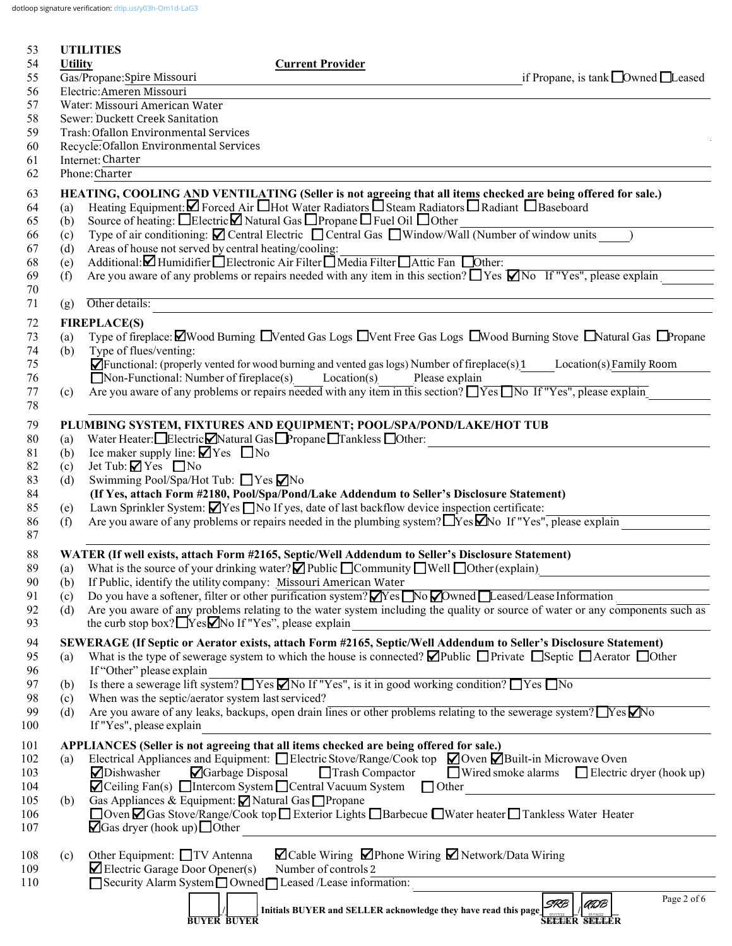dotloop signature verification: [dtlp.us/y03h-Om1d-LaG3](https://dtlp.us/y03h-Om1d-LaG3)

| 53         |                                       | <b>UTILITIES</b>                                                 |                                                                                                                                                                                                       |                                                           |  |  |  |
|------------|---------------------------------------|------------------------------------------------------------------|-------------------------------------------------------------------------------------------------------------------------------------------------------------------------------------------------------|-----------------------------------------------------------|--|--|--|
| 54         | <b>Utility</b>                        |                                                                  | <b>Current Provider</b>                                                                                                                                                                               |                                                           |  |  |  |
| 55         |                                       | Gas/Propane: Spire Missouri                                      |                                                                                                                                                                                                       | if Propane, is tank $\Box$ Owned $\Box$ Leased            |  |  |  |
| 56         | Electric: Ameren Missouri             |                                                                  |                                                                                                                                                                                                       |                                                           |  |  |  |
| 57         |                                       | Water: Missouri American Water                                   |                                                                                                                                                                                                       |                                                           |  |  |  |
| 58         | Sewer: Duckett Creek Sanitation       |                                                                  |                                                                                                                                                                                                       |                                                           |  |  |  |
| 59         | Trash: Ofallon Environmental Services |                                                                  |                                                                                                                                                                                                       |                                                           |  |  |  |
| 60         |                                       | Recycle: Ofallon Environmental Services                          |                                                                                                                                                                                                       |                                                           |  |  |  |
| 61         |                                       | Internet: Charter<br>Phone: Charter                              |                                                                                                                                                                                                       |                                                           |  |  |  |
| 62         |                                       |                                                                  |                                                                                                                                                                                                       |                                                           |  |  |  |
| 63         |                                       |                                                                  | HEATING, COOLING AND VENTILATING (Seller is not agreeing that all items checked are being offered for sale.)                                                                                          |                                                           |  |  |  |
| 64         | (a)                                   |                                                                  | Heating Equipment: $\Box$ Forced Air $\Box$ Hot Water Radiators $\Box$ Steam Radiators $\Box$ Radiant $\Box$ Baseboard                                                                                |                                                           |  |  |  |
| 65         | (b)                                   |                                                                  | Source of heating: □ElectricⅠ Natural Gas □ Propane □ Fuel Oil □ Other                                                                                                                                |                                                           |  |  |  |
| 66         | (c)                                   |                                                                  | Type of air conditioning: ⊠ Central Electric □ Central Gas □ Window/Wall (Number of window units                                                                                                      |                                                           |  |  |  |
| 67         | (d)                                   | Areas of house not served by central heating/cooling:            |                                                                                                                                                                                                       |                                                           |  |  |  |
| 68         | (e)                                   |                                                                  | Additional: Humidifier Blectronic Air Filter Media Filter Attic Fan Dother:                                                                                                                           |                                                           |  |  |  |
| 69         | (f)                                   |                                                                  | Are you aware of any problems or repairs needed with any item in this section? $\Box$ Yes $\Box$ No If "Yes", please explain                                                                          |                                                           |  |  |  |
| 70         |                                       |                                                                  |                                                                                                                                                                                                       |                                                           |  |  |  |
| 71         | (g)                                   | Other details:                                                   |                                                                                                                                                                                                       |                                                           |  |  |  |
| 72         |                                       | <b>FIREPLACE(S)</b>                                              |                                                                                                                                                                                                       |                                                           |  |  |  |
| 73         | (a)                                   |                                                                  | Type of fireplace: $\Box$ Wood Burning $\Box$ Vented Gas Logs $\Box$ Vent Free Gas Logs $\Box$ Wood Burning Stove $\Box$ Natural Gas $\Box$ Propane                                                   |                                                           |  |  |  |
| 74         | (b)                                   | Type of flues/venting:                                           |                                                                                                                                                                                                       |                                                           |  |  |  |
| 75         |                                       |                                                                  | $\overrightarrow{P}$ Functional: (properly vented for wood burning and vented gas logs) Number of fireplace(s) 1                                                                                      | Location(s) Family Room                                   |  |  |  |
| 76         |                                       | $\Box$ Non-Functional: Number of fireplace(s) Location(s)        | Please explain                                                                                                                                                                                        |                                                           |  |  |  |
| 77         | (c)                                   |                                                                  | Are you aware of any problems or repairs needed with any item in this section? $\Box$ Yes $\Box$ No If "Yes", please explain                                                                          |                                                           |  |  |  |
| 78         |                                       |                                                                  |                                                                                                                                                                                                       |                                                           |  |  |  |
| 79         |                                       |                                                                  | PLUMBING SYSTEM, FIXTURES AND EQUIPMENT; POOL/SPA/POND/LAKE/HOT TUB                                                                                                                                   |                                                           |  |  |  |
| 80         | (a)                                   | Water Heater: Electric Natural Gas Propane Tankless Other:       |                                                                                                                                                                                                       |                                                           |  |  |  |
| 81         | (b)                                   | Ice maker supply line: $\Box$ Yes $\Box$ No                      |                                                                                                                                                                                                       |                                                           |  |  |  |
| 82         | (c)                                   | Jet Tub: $\blacktriangleright$ Yes $\blacksquare$ No             |                                                                                                                                                                                                       |                                                           |  |  |  |
| 83         | (d)                                   | Swimming Pool/Spa/Hot Tub: □ Yes □ No                            |                                                                                                                                                                                                       |                                                           |  |  |  |
| 84<br>85   |                                       |                                                                  | (If Yes, attach Form #2180, Pool/Spa/Pond/Lake Addendum to Seller's Disclosure Statement)<br>Lawn Sprinkler System: $\Box$ Yes $\Box$ No If yes, date of last backflow device inspection certificate: |                                                           |  |  |  |
| 86         | (e)<br>(f)                            |                                                                  | Are you aware of any problems or repairs needed in the plumbing system? $\Box$ Yes $\Box$ No If "Yes", please explain                                                                                 |                                                           |  |  |  |
| 87         |                                       |                                                                  |                                                                                                                                                                                                       |                                                           |  |  |  |
|            |                                       |                                                                  |                                                                                                                                                                                                       |                                                           |  |  |  |
| 88         |                                       |                                                                  | WATER (If well exists, attach Form #2165, Septic/Well Addendum to Seller's Disclosure Statement)                                                                                                      |                                                           |  |  |  |
| 89         |                                       |                                                                  | (a) What is the source of your drinking water? $\blacksquare$ Public $\blacksquare$ Community $\blacksquare$ Well $\blacksquare$ Other (explain)                                                      |                                                           |  |  |  |
| 90<br>91   | (b)                                   | If Public, identify the utility company: Missouri American Water | Do you have a softener, filter or other purification system? $\blacksquare$ Yes $\blacksquare$ No $\blacksquare$ Downed $\blacksquare$ Leased/Lease Information                                       |                                                           |  |  |  |
| 92         | (c)<br>(d)                            |                                                                  | Are you aware of any problems relating to the water system including the quality or source of water or any components such as                                                                         |                                                           |  |  |  |
| 93         |                                       | the curb stop box? No If "Yes", please explain                   |                                                                                                                                                                                                       |                                                           |  |  |  |
|            |                                       |                                                                  |                                                                                                                                                                                                       |                                                           |  |  |  |
| 94         |                                       |                                                                  | SEWERAGE (If Septic or Aerator exists, attach Form #2165, Septic/Well Addendum to Seller's Disclosure Statement)                                                                                      |                                                           |  |  |  |
| 95         | (a)                                   |                                                                  | What is the type of sewerage system to which the house is connected? $\Box$ Public $\Box$ Private $\Box$ Septic $\Box$ Aerator $\Box$ Other                                                           |                                                           |  |  |  |
| 96<br>97   |                                       | If "Other" please explain                                        | Is there a sewerage lift system? $\Box$ Yes $\Box$ No If "Yes", is it in good working condition? $\Box$ Yes $\Box$ No                                                                                 |                                                           |  |  |  |
| 98         | (b)<br>(c)                            | When was the septic/aerator system last serviced?                |                                                                                                                                                                                                       |                                                           |  |  |  |
| 99         | (d)                                   |                                                                  | Are you aware of any leaks, backups, open drain lines or other problems relating to the sewerage system? TYes Mo                                                                                      |                                                           |  |  |  |
| 100        |                                       | If "Yes", please explain                                         |                                                                                                                                                                                                       |                                                           |  |  |  |
|            |                                       |                                                                  |                                                                                                                                                                                                       |                                                           |  |  |  |
| 101        |                                       |                                                                  | APPLIANCES (Seller is not agreeing that all items checked are being offered for sale.)                                                                                                                |                                                           |  |  |  |
| 102        | (a)                                   | <b>⊘</b> Dishwasher                                              | Electrical Appliances and Equipment: $\Box$ Electric Stove/Range/Cook top $\Box$ Oven $\Box$ Built-in Microwave Oven                                                                                  | $\Box$ Wired smoke alarms $\Box$ Electric dryer (hook up) |  |  |  |
| 103<br>104 |                                       | Garbage Disposal                                                 | Trash Compactor<br>$\blacksquare$ Ceiling Fan(s) $\blacksquare$ Intercom System $\blacksquare$ Central Vacuum System $\blacksquare$ Other                                                             |                                                           |  |  |  |
| 105        | (b)                                   | Gas Appliances & Equipment: △ Natural Gas □ Propane              |                                                                                                                                                                                                       |                                                           |  |  |  |
| 106        |                                       |                                                                  | □ Oven ○ Gas Stove/Range/Cook top □ Exterior Lights □ Barbecue □ Water heater □ Tankless Water Heater                                                                                                 |                                                           |  |  |  |
| 107        |                                       | $\Box$ Gas dryer (hook up) $\Box$ Other                          |                                                                                                                                                                                                       |                                                           |  |  |  |
|            |                                       |                                                                  |                                                                                                                                                                                                       |                                                           |  |  |  |
| 108        | (c)                                   | Other Equipment: □TV Antenna                                     | ⊠ Cable Wiring ØPhone Wiring Ø Network/Data Wiring                                                                                                                                                    |                                                           |  |  |  |
| 109        |                                       | $\blacktriangleright$ Electric Garage Door Opener(s)             | Number of controls 2                                                                                                                                                                                  |                                                           |  |  |  |
| 110        |                                       | Security Alarm System Owned Leased /Lease information:           |                                                                                                                                                                                                       |                                                           |  |  |  |
|            |                                       |                                                                  |                                                                                                                                                                                                       | Page 2 of 6<br>SRB<br>ADB                                 |  |  |  |
|            |                                       | <b>BUYER BUYER</b>                                               | Initials BUYER and SELLER acknowledge they have read this page                                                                                                                                        | <b>SEETER SELLER</b>                                      |  |  |  |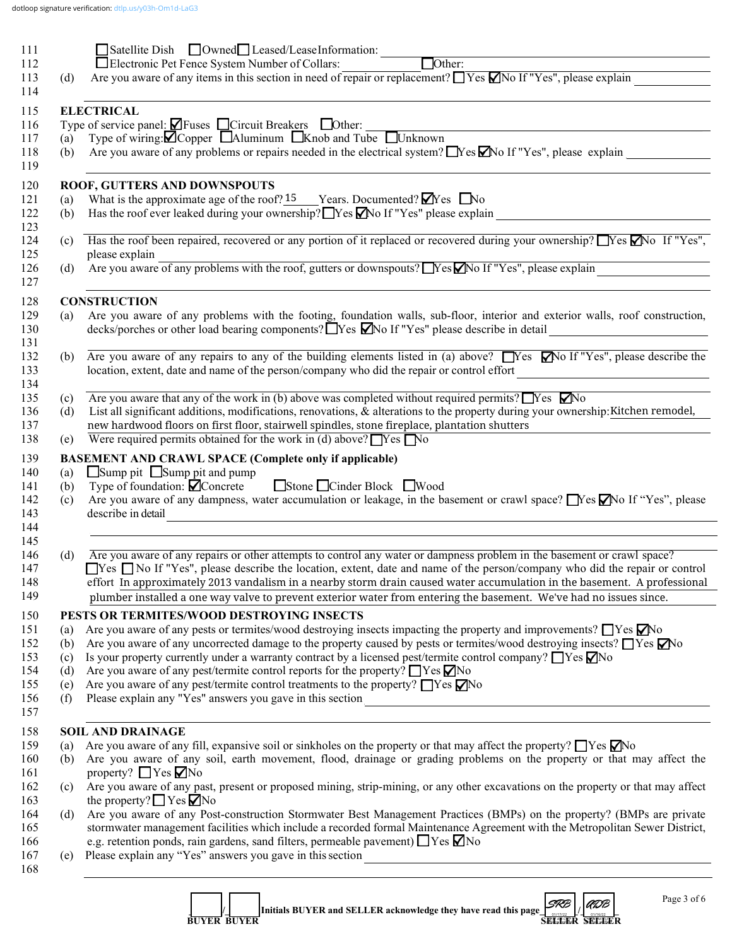|     | Satellite Dish <b>Owned Leased/LeaseInformation:</b><br>$\Box$ Other:                                                                                                                                                                                                                                                                                                                                                                                                                                                                                |
|-----|------------------------------------------------------------------------------------------------------------------------------------------------------------------------------------------------------------------------------------------------------------------------------------------------------------------------------------------------------------------------------------------------------------------------------------------------------------------------------------------------------------------------------------------------------|
|     | □ Electronic Pet Fence System Number of Collars:<br>Are you aware of any items in this section in need of repair or replacement? $\Box$ Yes $\Box$ No If "Yes", please explain                                                                                                                                                                                                                                                                                                                                                                       |
| (d) |                                                                                                                                                                                                                                                                                                                                                                                                                                                                                                                                                      |
|     | <b>ELECTRICAL</b>                                                                                                                                                                                                                                                                                                                                                                                                                                                                                                                                    |
|     | Type of service panel: $\blacksquare$ Fuses $\blacksquare$ Circuit Breakers $\blacksquare$ Other:                                                                                                                                                                                                                                                                                                                                                                                                                                                    |
| (a) | Type of wiring: $\blacksquare$ Copper $\blacksquare$ Aluminum $\blacksquare$ Knob and Tube $\blacksquare$ Unknown                                                                                                                                                                                                                                                                                                                                                                                                                                    |
| (b) | Are you aware of any problems or repairs needed in the electrical system? $\Box$ Yes $\Box$ No If "Yes", please explain $\Box$                                                                                                                                                                                                                                                                                                                                                                                                                       |
|     | ROOF, GUTTERS AND DOWNSPOUTS                                                                                                                                                                                                                                                                                                                                                                                                                                                                                                                         |
| (a) | What is the approximate age of the roof? 15 Years. Documented? $\blacksquare$ Yes $\blacksquare$ No                                                                                                                                                                                                                                                                                                                                                                                                                                                  |
| (b) | Has the roof ever leaked during your ownership? $\Box$ Yes $\Box$ No If "Yes" please explain<br><u> 1989 - Johann Barbara, martxa alemaniar arg</u>                                                                                                                                                                                                                                                                                                                                                                                                  |
| (c) | Has the roof been repaired, recovered or any portion of it replaced or recovered during your ownership? Thes Mo If "Yes",<br>please explain                                                                                                                                                                                                                                                                                                                                                                                                          |
| (d) | please explain<br>Are you aware of any problems with the roof, gutters or downspouts? No If "Yes", please explain                                                                                                                                                                                                                                                                                                                                                                                                                                    |
|     |                                                                                                                                                                                                                                                                                                                                                                                                                                                                                                                                                      |
|     | <b>CONSTRUCTION</b><br>Are you aware of any problems with the footing, foundation walls, sub-floor, interior and exterior walls, roof construction,                                                                                                                                                                                                                                                                                                                                                                                                  |
| (a) | decks/porches or other load bearing components? Tyes Mo If "Yes" please describe in detail<br><u> 1990 - Johann Barbara, martin a</u>                                                                                                                                                                                                                                                                                                                                                                                                                |
| (b) | Are you aware of any repairs to any of the building elements listed in (a) above? $\Box$ Yes $\Box$ No If "Yes", please describe the                                                                                                                                                                                                                                                                                                                                                                                                                 |
|     | location, extent, date and name of the person/company who did the repair or control effort                                                                                                                                                                                                                                                                                                                                                                                                                                                           |
| (c) | Are you aware that any of the work in (b) above was completed without required permits? $\Box$ Yes $\Box$ No                                                                                                                                                                                                                                                                                                                                                                                                                                         |
| (d) | List all significant additions, modifications, renovations, & alterations to the property during your ownership: Kitchen remodel,                                                                                                                                                                                                                                                                                                                                                                                                                    |
|     | new hardwood floors on first floor, stairwell spindles, stone fireplace, plantation shutters                                                                                                                                                                                                                                                                                                                                                                                                                                                         |
| (e) | Were required permits obtained for the work in (d) above? $\Box$ Yes $\Box$ No                                                                                                                                                                                                                                                                                                                                                                                                                                                                       |
|     | <b>BASEMENT AND CRAWL SPACE (Complete only if applicable)</b>                                                                                                                                                                                                                                                                                                                                                                                                                                                                                        |
| (a) | $\Box$ Sump pit $\Box$ Sump pit and pump                                                                                                                                                                                                                                                                                                                                                                                                                                                                                                             |
|     |                                                                                                                                                                                                                                                                                                                                                                                                                                                                                                                                                      |
| (b) | Type of foundation: $\Box$ Concrete Stone □ Cinder Block ■ Wood                                                                                                                                                                                                                                                                                                                                                                                                                                                                                      |
| (c) |                                                                                                                                                                                                                                                                                                                                                                                                                                                                                                                                                      |
|     | describe in detail<br><u> 1980 - Andrea Barbara, amerikana amerikana amerikana amerikana amerikana amerikana amerikana amerikana amerika</u>                                                                                                                                                                                                                                                                                                                                                                                                         |
|     |                                                                                                                                                                                                                                                                                                                                                                                                                                                                                                                                                      |
| (d) |                                                                                                                                                                                                                                                                                                                                                                                                                                                                                                                                                      |
|     | Are you aware of any repairs or other attempts to control any water or dampness problem in the basement or crawl space?                                                                                                                                                                                                                                                                                                                                                                                                                              |
|     |                                                                                                                                                                                                                                                                                                                                                                                                                                                                                                                                                      |
|     | plumber installed a one way valve to prevent exterior water from entering the basement. We've had no issues since.                                                                                                                                                                                                                                                                                                                                                                                                                                   |
|     |                                                                                                                                                                                                                                                                                                                                                                                                                                                                                                                                                      |
| (a) | PESTS OR TERMITES/WOOD DESTROYING INSECTS                                                                                                                                                                                                                                                                                                                                                                                                                                                                                                            |
| (b) | Are you aware of any pests or termites/wood destroying insects impacting the property and improvements? $\Box$ Yes $\Box$ No<br>Are you aware of any uncorrected damage to the property caused by pests or termites/wood destroying insects? $\Box$ Yes $\Box$ No                                                                                                                                                                                                                                                                                    |
| (c) | Is your property currently under a warranty contract by a licensed pest/termite control company? $\Box$ Yes $\Box$ No                                                                                                                                                                                                                                                                                                                                                                                                                                |
| (d) | Are you aware of any pest/termite control reports for the property? $\Box$ Yes $\Box$ No                                                                                                                                                                                                                                                                                                                                                                                                                                                             |
| (e) | Are you aware of any pest/termite control treatments to the property? $\Box$ Yes $\nabla$ No                                                                                                                                                                                                                                                                                                                                                                                                                                                         |
| (f) |                                                                                                                                                                                                                                                                                                                                                                                                                                                                                                                                                      |
|     | <b>SOIL AND DRAINAGE</b>                                                                                                                                                                                                                                                                                                                                                                                                                                                                                                                             |
| (a) | Are you aware of any fill, expansive soil or sinkholes on the property or that may affect the property? $\Box$ Yes $\Box$ No                                                                                                                                                                                                                                                                                                                                                                                                                         |
| (b) |                                                                                                                                                                                                                                                                                                                                                                                                                                                                                                                                                      |
|     | Are you aware of any dampness, water accumulation or leakage, in the basement or crawl space? No If "Yes", please<br>$\Box$ Yes $\Box$ No If "Yes", please describe the location, extent, date and name of the person/company who did the repair or control<br>effort In approximately 2013 vandalism in a nearby storm drain caused water accumulation in the basement. A professional<br>Are you aware of any soil, earth movement, flood, drainage or grading problems on the property or that may affect the<br>property? $\Box$ Yes $\nabla$ No |
| (c) |                                                                                                                                                                                                                                                                                                                                                                                                                                                                                                                                                      |
|     | Are you aware of any past, present or proposed mining, strip-mining, or any other excavations on the property or that may affect<br>the property? $\Box$ Yes $\Box$ No                                                                                                                                                                                                                                                                                                                                                                               |
| (d) |                                                                                                                                                                                                                                                                                                                                                                                                                                                                                                                                                      |
|     | Are you aware of any Post-construction Stormwater Best Management Practices (BMPs) on the property? (BMPs are private<br>stormwater management facilities which include a recorded formal Maintenance Agreement with the Metropolitan Sewer District,                                                                                                                                                                                                                                                                                                |
| (e) | e.g. retention ponds, rain gardens, sand filters, permeable pavement) TYes Mo<br>Please explain any "Yes" answers you gave in this section<br><u> 1989 - Johann Barbara, martxa alemaniar arg</u>                                                                                                                                                                                                                                                                                                                                                    |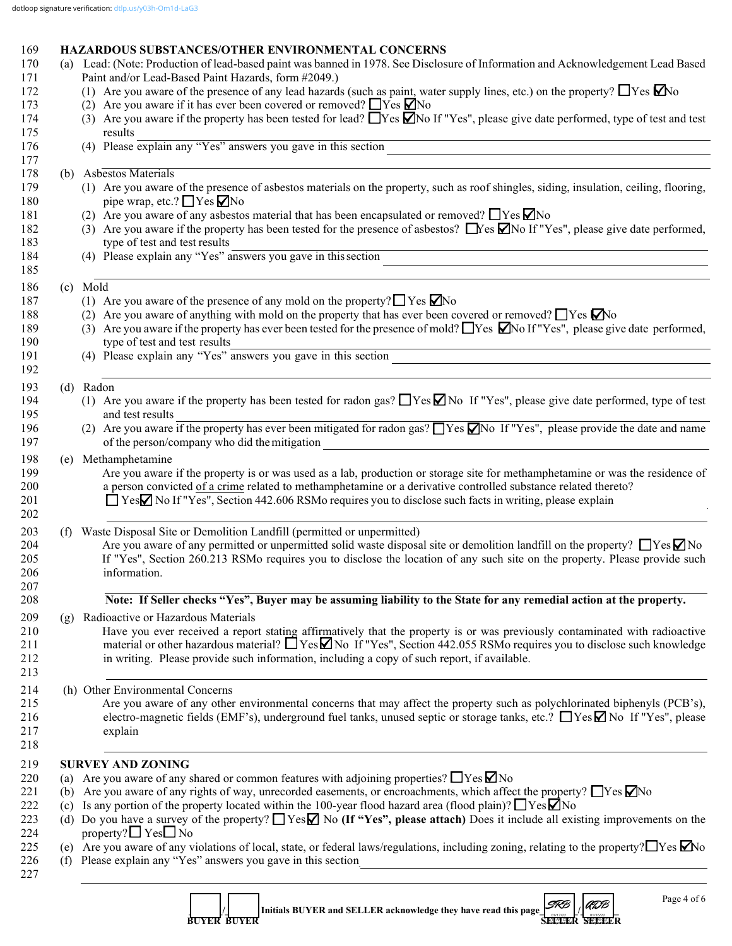| 169<br>170 | (a) | <b>HAZARDOUS SUBSTANCES/OTHER ENVIRONMENTAL CONCERNS</b><br>Lead: (Note: Production of lead-based paint was banned in 1978. See Disclosure of Information and Acknowledgement Lead Based |
|------------|-----|------------------------------------------------------------------------------------------------------------------------------------------------------------------------------------------|
| 171        |     | Paint and/or Lead-Based Paint Hazards, form #2049.)                                                                                                                                      |
| 172        |     | (1) Are you aware of the presence of any lead hazards (such as paint, water supply lines, etc.) on the property? $\Box$ Yes $\Box$ No                                                    |
| 173        |     | (2) Are you aware if it has ever been covered or removed? $\Box$ Yes $\Box$ No                                                                                                           |
| 174        |     | (3) Are you aware if the property has been tested for lead? $\Box$ Yes $\Box$ No If "Yes", please give date performed, type of test and test                                             |
| 175        |     | results                                                                                                                                                                                  |
| 176        |     | (4) Please explain any "Yes" answers you gave in this section                                                                                                                            |
| 177        |     |                                                                                                                                                                                          |
| 178        |     | (b) Asbestos Materials                                                                                                                                                                   |
| 179        |     | (1) Are you aware of the presence of asbestos materials on the property, such as roof shingles, siding, insulation, ceiling, flooring,                                                   |
| 180        |     | pipe wrap, etc.? $\Box$ Yes $\nabla$ No                                                                                                                                                  |
| 181        |     | (2) Are you aware of any asbestos material that has been encapsulated or removed? $\Box$ Yes $\Box$ No                                                                                   |
| 182        |     | (3) Are you aware if the property has been tested for the presence of asbestos? Nes Mo If "Yes", please give date performed,                                                             |
| 183        |     | type of test and test results                                                                                                                                                            |
| 184        |     | (4) Please explain any "Yes" answers you gave in this section                                                                                                                            |
| 185        |     |                                                                                                                                                                                          |
| 186        |     | (c) Mold                                                                                                                                                                                 |
| 187        |     | (1) Are you aware of the presence of any mold on the property? $\Box$ Yes $\Box$ No                                                                                                      |
| 188        |     | (2) Are you aware of anything with mold on the property that has ever been covered or removed? $\Box$ Yes $\Box$ No                                                                      |
| 189        |     | (3) Are you aware if the property has ever been tested for the presence of mold? These $\blacksquare$ No If "Yes", please give date performed,                                           |
| 190        |     | type of test and test results                                                                                                                                                            |
| 191        |     | (4) Please explain any "Yes" answers you gave in this section                                                                                                                            |
| 192        |     |                                                                                                                                                                                          |
|            |     |                                                                                                                                                                                          |
| 193<br>194 |     | (d) Radon<br>(1) Are you aware if the property has been tested for radon gas? $\Box$ Yes $\Box$ No If "Yes", please give date performed, type of test                                    |
|            |     |                                                                                                                                                                                          |
| 195        |     | and test results                                                                                                                                                                         |
| 196        |     | (2) Are you aware if the property has ever been mitigated for radon gas? $\Box$ Yes $\Box$ No If "Yes", please provide the date and name                                                 |
| 197        |     | of the person/company who did the mitigation                                                                                                                                             |
| 198        |     | (e) Methamphetamine                                                                                                                                                                      |
| 199        |     | Are you aware if the property is or was used as a lab, production or storage site for methamphetamine or was the residence of                                                            |
| 200        |     | a person convicted of a crime related to methamphetamine or a derivative controlled substance related thereto?                                                                           |
| 201        |     | $\Box$ Yes $\Box$ No If "Yes", Section 442.606 RSMo requires you to disclose such facts in writing, please explain                                                                       |
| 202        |     |                                                                                                                                                                                          |
| 203        |     | (f) Waste Disposal Site or Demolition Landfill (permitted or unpermitted)                                                                                                                |
| 204        |     | Are you aware of any permitted or unpermitted solid waste disposal site or demolition landfill on the property? $\Box$ Yes $\neg$ No                                                     |
| 205        |     | If "Yes", Section 260.213 RSMo requires you to disclose the location of any such site on the property. Please provide such                                                               |
| 206        |     | information.                                                                                                                                                                             |
| 207        |     |                                                                                                                                                                                          |
| 208        |     | Note: If Seller checks "Yes", Buyer may be assuming liability to the State for any remedial action at the property.                                                                      |
| 209        |     | (g) Radioactive or Hazardous Materials                                                                                                                                                   |
| 210        |     | Have you ever received a report stating affirmatively that the property is or was previously contaminated with radioactive                                                               |
| 211        |     | material or other hazardous material? $\Box$ Yes $\Box$ No If "Yes", Section 442.055 RSM requires you to disclose such knowledge                                                         |
| 212        |     | in writing. Please provide such information, including a copy of such report, if available.                                                                                              |
| 213        |     |                                                                                                                                                                                          |
| 214        |     | (h) Other Environmental Concerns                                                                                                                                                         |
| 215        |     | Are you aware of any other environmental concerns that may affect the property such as polychlorinated biphenyls (PCB's),                                                                |
| 216        |     | electro-magnetic fields (EMF's), underground fuel tanks, unused septic or storage tanks, etc.? $\Box$ Yes $\Box$ No If "Yes", please                                                     |
| 217        |     | explain                                                                                                                                                                                  |
| 218        |     |                                                                                                                                                                                          |
|            |     |                                                                                                                                                                                          |
| 219        |     | <b>SURVEY AND ZONING</b>                                                                                                                                                                 |
| 220        |     | (a) Are you aware of any shared or common features with adjoining properties? $\Box$ Yes $\Box$ No                                                                                       |
| 221        |     | (b) Are you aware of any rights of way, unrecorded easements, or encroachments, which affect the property? $\Box$ Yes $\Box$ No                                                          |
| 222        |     | (c) Is any portion of the property located within the 100-year flood hazard area (flood plain)? $\Box$ Yes $\Box$ No                                                                     |
| 223        |     | (d) Do you have a survey of the property? $\Box$ Yes $\Box$ No (If "Yes", please attach) Does it include all existing improvements on the                                                |
| 224        |     | property? $\Box$ Yes $\Box$ No                                                                                                                                                           |
| 225        |     | (e) Are you aware of any violations of local, state, or federal laws/regulations, including zoning, relating to the property? $\Box$ Yes $\Box$ No                                       |
| 226        |     | (f) Please explain any "Yes" answers you gave in this section                                                                                                                            |
| 227        |     |                                                                                                                                                                                          |
|            |     |                                                                                                                                                                                          |

**1 d**  $\begin{bmatrix} 1 & 1 \end{bmatrix}$  Initials BUYER and SELLER acknowledge they have read this page  $\begin{bmatrix} 1 & 1 \end{bmatrix}$ **BUYER BUYER SELLER SELLER SELLER SELLER SELLER SELLER** *SRB*<br>JEHALE *ADB*<br>SELEI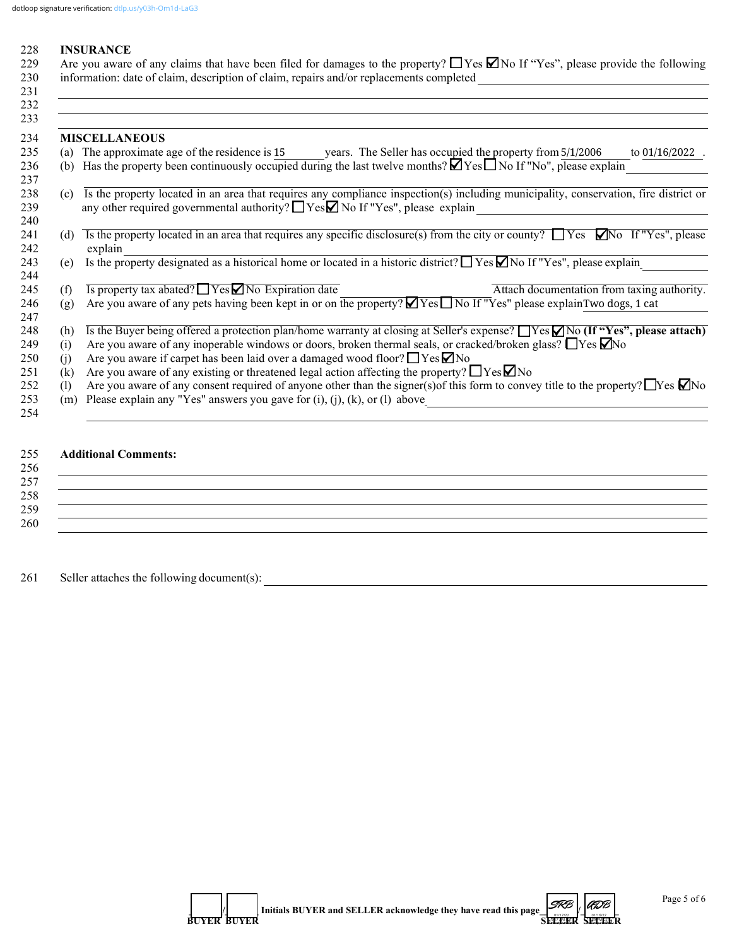#### 228 **INSURANCE**

229 Are you aware of any claims that have been filed for damages to the property?  $\Box$  Yes  $\Box$  No If "Yes", please provide the following 230 information: date of claim, description of claim, repairs and/or replacements completed \_\_\_\_\_\_\_\_\_\_\_\_\_\_\_\_\_\_\_\_\_\_\_\_\_\_\_\_\_\_\_\_\_\_\_\_\_\_  $231$ 

|                              | <b>MISCELLANEOUS</b>                                                                                                                                                                                                                |
|------------------------------|-------------------------------------------------------------------------------------------------------------------------------------------------------------------------------------------------------------------------------------|
| (a)                          | The approximate age of the residence is 15<br>years. The Seller has occupied the property from 5/1/2006<br>to 01/16/2022                                                                                                            |
| (b)                          | Has the property been continuously occupied during the last twelve months? $\Box$ Yes $\Box$ No If "No", please explain                                                                                                             |
| (c)                          | Is the property located in an area that requires any compliance inspection(s) including municipality, conservation, fire district or<br>any other required governmental authority? ■ Yes ■ No If "Yes", please explain              |
| (d)                          | Is the property located in an area that requires any specific disclosure(s) from the city or county? $\Box$ Yes $\Box$ No If "Yes", please<br>explain                                                                               |
| (e)                          | Is the property designated as a historical home or located in a historic district? $\Box$ Yes $\Box$ No If "Yes", please explain                                                                                                    |
| (f)                          | Is property tax abated? $\Box$ Yes $\Box$ No Expiration date<br>Attach documentation from taxing authority.                                                                                                                         |
| (g)                          | Are you aware of any pets having been kept in or on the property? Ø Yes□ No If "Yes" please explainTwo dogs, 1 cat                                                                                                                  |
| (h)                          | Is the Buyer being offered a protection plan/home warranty at closing at Seller's expense? $\Box$ Yes $\Box$ No (If "Yes", please attach)                                                                                           |
| (i)                          | Are you aware of any inoperable windows or doors, broken thermal seals, or cracked/broken glass? $\Box$ Yes $\Box$ No                                                                                                               |
| (1)                          | Are you aware if carpet has been laid over a damaged wood floor? $\Box$ Yes $\Box$ No                                                                                                                                               |
| (k)                          | Are you aware of any existing or threatened legal action affecting the property? $\Box$ Yes $\Box$ No                                                                                                                               |
| $\left( \frac{1}{2} \right)$ | Are you aware of any consent required of anyone other than the signer(s) of this form to convey title to the property? $\Box$ Yes $\Box$ No<br>Please explain any "Yes" answers you gave for $(i)$ , $(j)$ , $(k)$ , or $(l)$ above |

# 255 **Additional Comments:**

| 256 |  |  |  |  |
|-----|--|--|--|--|
| 257 |  |  |  |  |
| 258 |  |  |  |  |
| 259 |  |  |  |  |
| 260 |  |  |  |  |

 $261$  Seller attaches the following document(s):